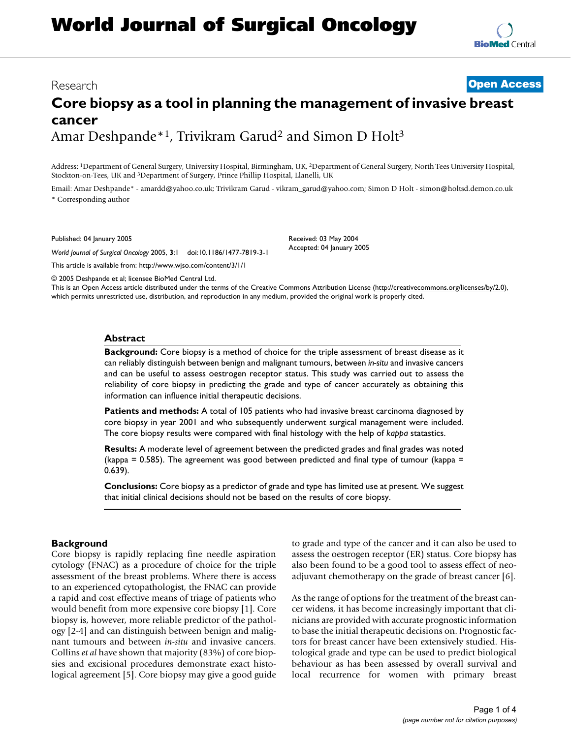# **World Journal of Surgical Oncology**

Research **[Open Access](http://www.biomedcentral.com/info/about/charter/)**

## **Core biopsy as a tool in planning the management of invasive breast cancer** Amar Deshpande\*<sup>1</sup>, Trivikram Garud<sup>2</sup> and Simon D Holt<sup>3</sup>

Address: 1Department of General Surgery, University Hospital, Birmingham, UK, 2Department of General Surgery, North Tees University Hospital, Stockton-on-Tees, UK and 3Department of Surgery, Prince Phillip Hospital, Llanelli, UK

Email: Amar Deshpande\* - amardd@yahoo.co.uk; Trivikram Garud - vikram\_garud@yahoo.com; Simon D Holt - simon@holtsd.demon.co.uk \* Corresponding author

Published: 04 January 2005

*World Journal of Surgical Oncology* 2005, **3**:1 doi:10.1186/1477-7819-3-1

Accepted: 04 January 2005

Received: 03 May 2004

[This article is available from: http://www.wjso.com/content/3/1/1](http://www.wjso.com/content/3/1/1)

© 2005 Deshpande et al; licensee BioMed Central Ltd.

This is an Open Access article distributed under the terms of the Creative Commons Attribution License [\(http://creativecommons.org/licenses/by/2.0\)](http://creativecommons.org/licenses/by/2.0), which permits unrestricted use, distribution, and reproduction in any medium, provided the original work is properly cited.

#### **Abstract**

**Background:** Core biopsy is a method of choice for the triple assessment of breast disease as it can reliably distinguish between benign and malignant tumours, between *in-situ* and invasive cancers and can be useful to assess oestrogen receptor status. This study was carried out to assess the reliability of core biopsy in predicting the grade and type of cancer accurately as obtaining this information can influence initial therapeutic decisions.

**Patients and methods:** A total of 105 patients who had invasive breast carcinoma diagnosed by core biopsy in year 2001 and who subsequently underwent surgical management were included. The core biopsy results were compared with final histology with the help of *kappa* statastics.

**Results:** A moderate level of agreement between the predicted grades and final grades was noted (kappa = 0.585). The agreement was good between predicted and final type of tumour (kappa = 0.639).

**Conclusions:** Core biopsy as a predictor of grade and type has limited use at present. We suggest that initial clinical decisions should not be based on the results of core biopsy.

#### **Background**

Core biopsy is rapidly replacing fine needle aspiration cytology (FNAC) as a procedure of choice for the triple assessment of the breast problems. Where there is access to an experienced cytopathologist, the FNAC can provide a rapid and cost effective means of triage of patients who would benefit from more expensive core biopsy [1]. Core biopsy is, however, more reliable predictor of the pathology [2-4] and can distinguish between benign and malignant tumours and between *in-situ* and invasive cancers. Collins *et al* have shown that majority (83%) of core biopsies and excisional procedures demonstrate exact histological agreement [5]. Core biopsy may give a good guide to grade and type of the cancer and it can also be used to assess the oestrogen receptor (ER) status. Core biopsy has also been found to be a good tool to assess effect of neoadjuvant chemotherapy on the grade of breast cancer [6].

As the range of options for the treatment of the breast cancer widens, it has become increasingly important that clinicians are provided with accurate prognostic information to base the initial therapeutic decisions on. Prognostic factors for breast cancer have been extensively studied. Histological grade and type can be used to predict biological behaviour as has been assessed by overall survival and local recurrence for women with primary breast

**[BioMed](http://www.biomedcentral.com/)** Central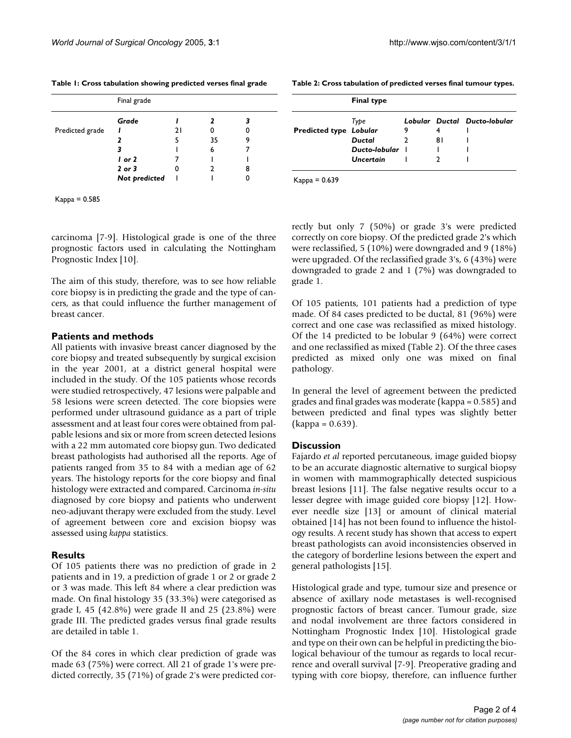|                 | Final grade   |    |    |   |  |
|-----------------|---------------|----|----|---|--|
|                 | Grade         |    |    |   |  |
| Predicted grade |               | 21 | O  |   |  |
|                 | 7             | 5  | 35 | 9 |  |
|                 | 3             |    | 6  |   |  |
|                 | $I$ or $2$    |    |    |   |  |
|                 | $2$ or $3$    |    |    | 8 |  |
|                 | Not predicted |    |    |   |  |

#### **Table 1: Cross tabulation showing predicted verses final grade**

**Table 2: Cross tabulation of predicted verses final tumour types.**

|                               | <b>Final type</b> |    |                              |
|-------------------------------|-------------------|----|------------------------------|
|                               | Tybe              |    | Lobular Ductal Ducto-lobular |
| <b>Predicted type Lobular</b> |                   |    |                              |
|                               | Ductal            | 81 |                              |
|                               | Ducto-lobular I   |    |                              |
|                               | Uncertain         |    |                              |
|                               |                   |    |                              |

Kappa = 0.639

Kappa = 0.585

carcinoma [7-9]. Histological grade is one of the three prognostic factors used in calculating the Nottingham Prognostic Index [10].

The aim of this study, therefore, was to see how reliable core biopsy is in predicting the grade and the type of cancers, as that could influence the further management of breast cancer.

#### **Patients and methods**

All patients with invasive breast cancer diagnosed by the core biopsy and treated subsequently by surgical excision in the year 2001, at a district general hospital were included in the study. Of the 105 patients whose records were studied retrospectively, 47 lesions were palpable and 58 lesions were screen detected. The core biopsies were performed under ultrasound guidance as a part of triple assessment and at least four cores were obtained from palpable lesions and six or more from screen detected lesions with a 22 mm automated core biopsy gun. Two dedicated breast pathologists had authorised all the reports. Age of patients ranged from 35 to 84 with a median age of 62 years. The histology reports for the core biopsy and final histology were extracted and compared. Carcinoma *in-situ* diagnosed by core biopsy and patients who underwent neo-adjuvant therapy were excluded from the study. Level of agreement between core and excision biopsy was assessed using *kappa* statistics.

### **Results**

Of 105 patients there was no prediction of grade in 2 patients and in 19, a prediction of grade 1 or 2 or grade 2 or 3 was made. This left 84 where a clear prediction was made. On final histology 35 (33.3%) were categorised as grade I, 45 (42.8%) were grade II and 25 (23.8%) were grade III. The predicted grades versus final grade results are detailed in table 1.

Of the 84 cores in which clear prediction of grade was made 63 (75%) were correct. All 21 of grade 1's were predicted correctly, 35 (71%) of grade 2's were predicted correctly but only 7 (50%) or grade 3's were predicted correctly on core biopsy. Of the predicted grade 2's which were reclassified, 5 (10%) were downgraded and 9 (18%) were upgraded. Of the reclassified grade 3's, 6 (43%) were downgraded to grade 2 and 1 (7%) was downgraded to grade 1.

Of 105 patients, 101 patients had a prediction of type made. Of 84 cases predicted to be ductal, 81 (96%) were correct and one case was reclassified as mixed histology. Of the 14 predicted to be lobular 9 (64%) were correct and one reclassified as mixed (Table 2). Of the three cases predicted as mixed only one was mixed on final pathology.

In general the level of agreement between the predicted grades and final grades was moderate (kappa = 0.585) and between predicted and final types was slightly better (kappa = 0.639).

### **Discussion**

Fajardo *et al* reported percutaneous, image guided biopsy to be an accurate diagnostic alternative to surgical biopsy in women with mammographically detected suspicious breast lesions [11]. The false negative results occur to a lesser degree with image guided core biopsy [12]. However needle size [13] or amount of clinical material obtained [14] has not been found to influence the histology results. A recent study has shown that access to expert breast pathologists can avoid inconsistencies observed in the category of borderline lesions between the expert and general pathologists [15].

Histological grade and type, tumour size and presence or absence of axillary node metastases is well-recognised prognostic factors of breast cancer. Tumour grade, size and nodal involvement are three factors considered in Nottingham Prognostic Index [10]. Histological grade and type on their own can be helpful in predicting the biological behaviour of the tumour as regards to local recurrence and overall survival [7-9]. Preoperative grading and typing with core biopsy, therefore, can influence further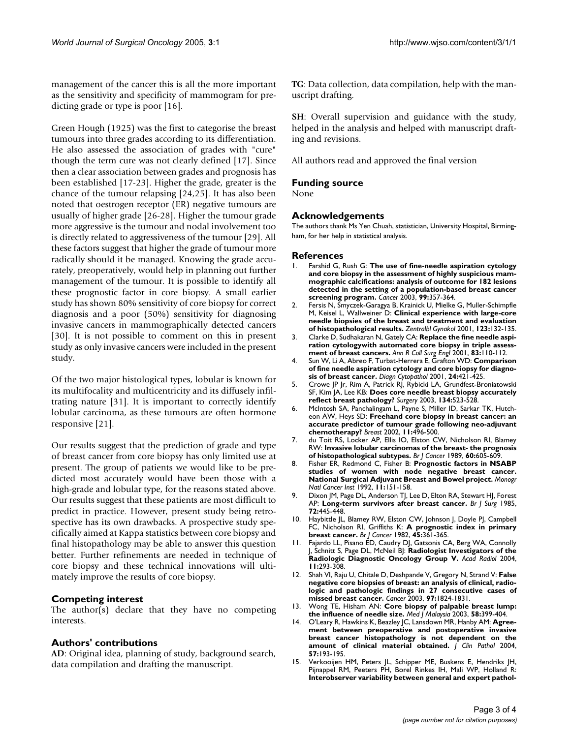management of the cancer this is all the more important as the sensitivity and specificity of mammogram for predicting grade or type is poor [16].

Green Hough (1925) was the first to categorise the breast tumours into three grades according to its differentiation. He also assessed the association of grades with "cure" though the term cure was not clearly defined [17]. Since then a clear association between grades and prognosis has been established [17-23]. Higher the grade, greater is the chance of the tumour relapsing [24,25]. It has also been noted that oestrogen receptor (ER) negative tumours are usually of higher grade [26-28]. Higher the tumour grade more aggressive is the tumour and nodal involvement too is directly related to aggressiveness of the tumour [29]. All these factors suggest that higher the grade of tumour more radically should it be managed. Knowing the grade accurately, preoperatively, would help in planning out further management of the tumour. It is possible to identify all these prognostic factor in core biopsy. A small earlier study has shown 80% sensitivity of core biopsy for correct diagnosis and a poor (50%) sensitivity for diagnosing invasive cancers in mammographically detected cancers [30]. It is not possible to comment on this in present study as only invasive cancers were included in the present study.

Of the two major histological types, lobular is known for its multifocality and multicentricity and its diffusely infiltrating nature [31]. It is important to correctly identify lobular carcinoma, as these tumours are often hormone responsive [21].

Our results suggest that the prediction of grade and type of breast cancer from core biopsy has only limited use at present. The group of patients we would like to be predicted most accurately would have been those with a high-grade and lobular type, for the reasons stated above. Our results suggest that these patients are most difficult to predict in practice. However, present study being retrospective has its own drawbacks. A prospective study specifically aimed at Kappa statistics between core biopsy and final histopathology may be able to answer this question better. Further refinements are needed in technique of core biopsy and these technical innovations will ultimately improve the results of core biopsy.

### **Competing interest**

The author(s) declare that they have no competing interests.

### **Authors' contributions**

**AD**: Original idea, planning of study, background search, data compilation and drafting the manuscript.

**TG**: Data collection, data compilation, help with the manuscript drafting.

**SH**: Overall supervision and guidance with the study, helped in the analysis and helped with manuscript drafting and revisions.

All authors read and approved the final version

#### **Funding source**

None

#### **Acknowledgements**

The authors thank Ms Yen Chuah, statistician, University Hospital, Birmingham, for her help in statistical analysis.

#### **References**

- 1. Farshid G, Rush G: **[The use of fine-needle aspiration cytology](http://www.ncbi.nlm.nih.gov/entrez/query.fcgi?cmd=Retrieve&db=PubMed&dopt=Abstract&list_uids=14681944) and core biopsy in the assessment of highly suspicious mam[mographic calcifications: analysis of outcome for 182 lesions](http://www.ncbi.nlm.nih.gov/entrez/query.fcgi?cmd=Retrieve&db=PubMed&dopt=Abstract&list_uids=14681944) detected in the setting of a population-based breast cancer [screening program.](http://www.ncbi.nlm.nih.gov/entrez/query.fcgi?cmd=Retrieve&db=PubMed&dopt=Abstract&list_uids=14681944)** *Cancer* 2003, **99:**357-364.
- 2. Fersis N, Smyczek-Garagya B, Krainick U, Mielke G, Muller-Schimpfle M, Keisel L, Wallweiner D: **[Clinical experience with large-core](http://www.ncbi.nlm.nih.gov/entrez/query.fcgi?cmd=Retrieve&db=PubMed&dopt=Abstract&list_uids=11340952) [needle biopsies of the breast and treatment and evaluation](http://www.ncbi.nlm.nih.gov/entrez/query.fcgi?cmd=Retrieve&db=PubMed&dopt=Abstract&list_uids=11340952) [of histopathological results.](http://www.ncbi.nlm.nih.gov/entrez/query.fcgi?cmd=Retrieve&db=PubMed&dopt=Abstract&list_uids=11340952)** *Zentralbl Gynakol* 2001, **123:**132-135.
- 3. Clarke D, Sudhakaran N, Gately CA: **[Replace the fine needle aspi](http://www.ncbi.nlm.nih.gov/entrez/query.fcgi?cmd=Retrieve&db=PubMed&dopt=Abstract&list_uids=11320918)[ration cytologywith automated core biopsy in triple assess](http://www.ncbi.nlm.nih.gov/entrez/query.fcgi?cmd=Retrieve&db=PubMed&dopt=Abstract&list_uids=11320918)[ment of breast cancers.](http://www.ncbi.nlm.nih.gov/entrez/query.fcgi?cmd=Retrieve&db=PubMed&dopt=Abstract&list_uids=11320918)** *Ann R Coll Surg Engl* 2001, **83:**110-112.
- 4. Sun W, Li A, Abreo F, Turbat-Herrera E, Grafton WD: **[Comparison](http://www.ncbi.nlm.nih.gov/entrez/query.fcgi?cmd=Retrieve&db=PubMed&dopt=Abstract&list_uids=11391825) [of fine needle aspiration cytology and core biopsy for diagno](http://www.ncbi.nlm.nih.gov/entrez/query.fcgi?cmd=Retrieve&db=PubMed&dopt=Abstract&list_uids=11391825)[sis of breast cancer.](http://www.ncbi.nlm.nih.gov/entrez/query.fcgi?cmd=Retrieve&db=PubMed&dopt=Abstract&list_uids=11391825)** *Diagn Cytopathol* 2001, **24:**421-425.
- 5. Crowe JP Jr, Rim A, Patrick RJ, Rybicki LA, Grundfest-Broniatowski SF, Kim JA, Lee KB: **[Does core needle breast biopsy accurately](http://www.ncbi.nlm.nih.gov/entrez/query.fcgi?cmd=Retrieve&db=PubMed&dopt=Abstract&list_uids=14605609) [reflect breast pathology?](http://www.ncbi.nlm.nih.gov/entrez/query.fcgi?cmd=Retrieve&db=PubMed&dopt=Abstract&list_uids=14605609)** *Surgery* 2003, **134:**523-528.
- 6. McIntosh SA, Panchalingam L, Payne S, Miller ID, Sarkar TK, Hutcheon AW, Heys SD: **[Freehand core biopsy in breast cancer: an](http://www.ncbi.nlm.nih.gov/entrez/query.fcgi?cmd=Retrieve&db=PubMed&dopt=Abstract&list_uids=14965716) [accurate predictor of tumour grade following neo-adjuvant](http://www.ncbi.nlm.nih.gov/entrez/query.fcgi?cmd=Retrieve&db=PubMed&dopt=Abstract&list_uids=14965716) [chemotherapy?](http://www.ncbi.nlm.nih.gov/entrez/query.fcgi?cmd=Retrieve&db=PubMed&dopt=Abstract&list_uids=14965716)** *Breast* 2002, **11:**496-500.
- 7. du Toit RS, Locker AP, Ellis IO, Elston CW, Nicholson RI, Blamey RW: **[Invasive lobular carcinomas of the breast- the prognosis](http://www.ncbi.nlm.nih.gov/entrez/query.fcgi?cmd=Retrieve&db=PubMed&dopt=Abstract&list_uids=2803932) [of histopathological subtypes.](http://www.ncbi.nlm.nih.gov/entrez/query.fcgi?cmd=Retrieve&db=PubMed&dopt=Abstract&list_uids=2803932)** *Br J Cancer* 1989, **60:**605-609.
- 8. Fisher ER, Redmond C, Fisher B: **[Prognostic factors in NSABP](http://www.ncbi.nlm.nih.gov/entrez/query.fcgi?cmd=Retrieve&db=PubMed&dopt=Abstract&list_uids=1344974) [studies of women with node negative breast cancer.](http://www.ncbi.nlm.nih.gov/entrez/query.fcgi?cmd=Retrieve&db=PubMed&dopt=Abstract&list_uids=1344974) [National Surgical Adjuvant Breast and Bowel project.](http://www.ncbi.nlm.nih.gov/entrez/query.fcgi?cmd=Retrieve&db=PubMed&dopt=Abstract&list_uids=1344974)** *Monogr Natl Cancer Inst* 1992, **11:**151-158.
- 9. Dixon JM, Page DL, Anderson TJ, Lee D, Elton RA, Stewart HJ, Forest AP: **[Long-term survivors after breast cancer.](http://www.ncbi.nlm.nih.gov/entrez/query.fcgi?cmd=Retrieve&db=PubMed&dopt=Abstract&list_uids=4016513)** *Br J Surg* 1985, **72:**445-448.
- 10. Haybittle JL, Blamey RW, Elston CW, Johnson J, Doyle PJ, Campbell FC, Nicholson RI, Griffiths K: **[A prognostic index in primary](http://www.ncbi.nlm.nih.gov/entrez/query.fcgi?cmd=Retrieve&db=PubMed&dopt=Abstract&list_uids=7073932) [breast cancer.](http://www.ncbi.nlm.nih.gov/entrez/query.fcgi?cmd=Retrieve&db=PubMed&dopt=Abstract&list_uids=7073932)** *Br J Cancer* 1982, **45:**361-365.
- 11. Fajardo LL, Pisano ED, Caudry DJ, Gatsonis CA, Berg WA, Connolly J, Schnitt S, Page DL, McNeil BJ: **[Radiologist Investigators of the](http://www.ncbi.nlm.nih.gov/entrez/query.fcgi?cmd=Retrieve&db=PubMed&dopt=Abstract&list_uids=15035520) [Radiologic Diagnostic Oncology Group V.](http://www.ncbi.nlm.nih.gov/entrez/query.fcgi?cmd=Retrieve&db=PubMed&dopt=Abstract&list_uids=15035520)** *Acad Radiol* 2004, **11:**293-308.
- 12. Shah VI, Raju U, Chitale D, Deshpande V, Gregory N, Strand V: **[False](http://www.ncbi.nlm.nih.gov/entrez/query.fcgi?cmd=Retrieve&db=PubMed&dopt=Abstract&list_uids=12673707) negative core biopsies of breast: an analysis of clinical, radio[logic and pathologic findings in 27 consecutive cases of](http://www.ncbi.nlm.nih.gov/entrez/query.fcgi?cmd=Retrieve&db=PubMed&dopt=Abstract&list_uids=12673707) [missed breast cancer.](http://www.ncbi.nlm.nih.gov/entrez/query.fcgi?cmd=Retrieve&db=PubMed&dopt=Abstract&list_uids=12673707)** *Cancer* 2003, **97:**1824-1831.
- 13. Wong TE, Hisham AN: **[Core biopsy of palpable breast lump:](http://www.ncbi.nlm.nih.gov/entrez/query.fcgi?cmd=Retrieve&db=PubMed&dopt=Abstract&list_uids=14750380) [the influence of needle size.](http://www.ncbi.nlm.nih.gov/entrez/query.fcgi?cmd=Retrieve&db=PubMed&dopt=Abstract&list_uids=14750380)** *Med J Malaysia* 2003, **58:**399-404.
- 14. O'Leary R, Hawkins K, Beazley JC, Lansdown MR, Hanby AM: **[Agree](http://www.ncbi.nlm.nih.gov/entrez/query.fcgi?cmd=Retrieve&db=PubMed&dopt=Abstract&list_uids=14747449)ment between preoperative and postoperative invasive [breast cancer histopathology is not dependent on the](http://www.ncbi.nlm.nih.gov/entrez/query.fcgi?cmd=Retrieve&db=PubMed&dopt=Abstract&list_uids=14747449) [amount of clinical material obtained.](http://www.ncbi.nlm.nih.gov/entrez/query.fcgi?cmd=Retrieve&db=PubMed&dopt=Abstract&list_uids=14747449)** *J Clin Pathol* 2004, **57:**193-195.
- 15. Verkooijen HM, Peters JL, Schipper ME, Buskens E, Hendriks JH, Pijnappel RM, Peeters PH, Borel Rinkes IH, Mali WP, Holland R: **[Interobserver variability between general and expert pathol](http://www.ncbi.nlm.nih.gov/entrez/query.fcgi?cmd=Retrieve&db=PubMed&dopt=Abstract&list_uids=14522377)-**